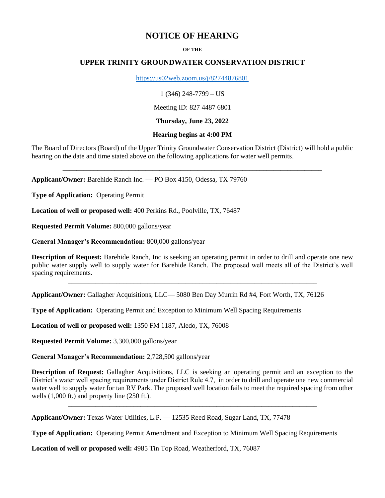# **NOTICE OF HEARING**

#### **OF THE**

## **UPPER TRINITY GROUNDWATER CONSERVATION DISTRICT**

<https://us02web.zoom.us/j/82744876801>

1 (346) 248-7799 – US

Meeting ID: 827 4487 6801

**Thursday, June 23, 2022**

#### **Hearing begins at 4:00 PM**

The Board of Directors (Board) of the Upper Trinity Groundwater Conservation District (District) will hold a public hearing on the date and time stated above on the following applications for water well permits.

**\_\_\_\_\_\_\_\_\_\_\_\_\_\_\_\_\_\_\_\_\_\_\_\_\_\_\_\_\_\_\_\_\_\_\_\_\_\_\_\_\_\_\_\_\_\_\_\_\_\_\_\_\_\_\_\_\_\_\_\_\_\_\_\_\_\_\_\_\_\_\_\_\_\_\_**

**Applicant/Owner:** Barehide Ranch Inc. — PO Box 4150, Odessa, TX 79760

**Type of Application:** Operating Permit

**Location of well or proposed well:** 400 Perkins Rd., Poolville, TX, 76487

**Requested Permit Volume:** 800,000 gallons/year

**General Manager's Recommendation:** 800,000 gallons/year

**Description of Request:** Barehide Ranch, Inc is seeking an operating permit in order to drill and operate one new public water supply well to supply water for Barehide Ranch. The proposed well meets all of the District's well spacing requirements.

**\_\_\_\_\_\_\_\_\_\_\_\_\_\_\_\_\_\_\_\_\_\_\_\_\_\_\_\_\_\_\_\_\_\_\_\_\_\_\_\_\_\_\_\_\_\_\_\_\_\_\_\_\_\_\_\_\_\_\_\_\_\_\_\_\_\_\_\_\_\_\_\_**

**Applicant/Owner:** Gallagher Acquisitions, LLC— 5080 Ben Day Murrin Rd #4, Fort Worth, TX, 76126

**Type of Application:** Operating Permit and Exception to Minimum Well Spacing Requirements

**Location of well or proposed well:** 1350 FM 1187, Aledo, TX, 76008

**Requested Permit Volume:** 3,300,000 gallons/year

**General Manager's Recommendation:** 2,728,500 gallons/year

**Description of Request:** Gallagher Acquisitions, LLC is seeking an operating permit and an exception to the District's water well spacing requirements under District Rule 4.7, in order to drill and operate one new commercial water well to supply water for tan RV Park. The proposed well location fails to meet the required spacing from other wells (1,000 ft.) and property line (250 ft.).

**\_\_\_\_\_\_\_\_\_\_\_\_\_\_\_\_\_\_\_\_\_\_\_\_\_\_\_\_\_\_\_\_\_\_\_\_\_\_\_\_\_\_\_\_\_\_\_\_\_\_\_\_\_\_\_\_\_\_\_\_\_\_\_\_\_\_\_\_\_\_\_\_**

**Applicant/Owner:** Texas Water Utilities, L.P. — 12535 Reed Road, Sugar Land, TX, 77478

**Type of Application:** Operating Permit Amendment and Exception to Minimum Well Spacing Requirements

**Location of well or proposed well:** 4985 Tin Top Road, Weatherford, TX, 76087